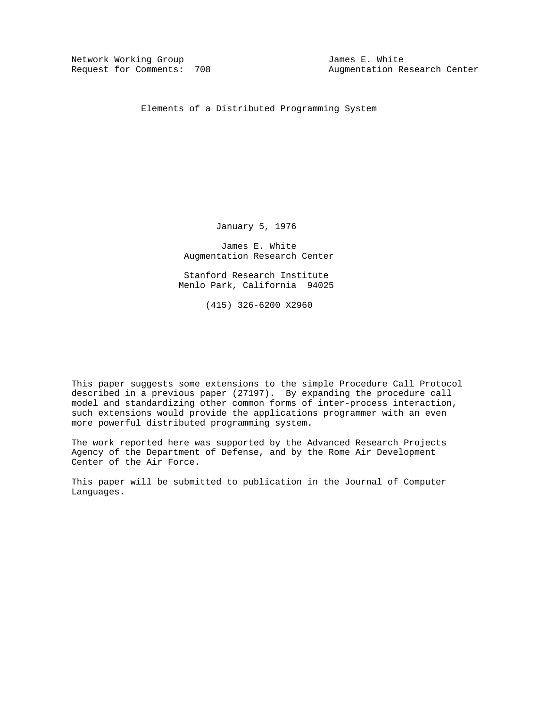Network Working Group James E. White

Augmentation Research Center

Elements of a Distributed Programming System

January 5, 1976

 James E. White Augmentation Research Center

 Stanford Research Institute Menlo Park, California 94025

(415) 326-6200 X2960

This paper suggests some extensions to the simple Procedure Call Protocol described in a previous paper (27197). By expanding the procedure call model and standardizing other common forms of inter-process interaction, such extensions would provide the applications programmer with an even more powerful distributed programming system.

The work reported here was supported by the Advanced Research Projects Agency of the Department of Defense, and by the Rome Air Development Center of the Air Force.

This paper will be submitted to publication in the Journal of Computer Languages.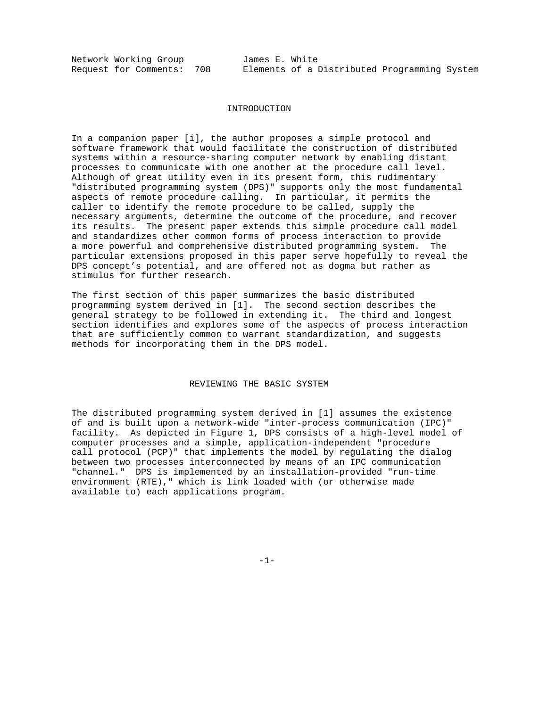Network Working Group James E. White<br>Request for Comments: 708 Elements of a I

### INTRODUCTION

In a companion paper [i], the author proposes a simple protocol and software framework that would facilitate the construction of distributed systems within a resource-sharing computer network by enabling distant processes to communicate with one another at the procedure call level. Although of great utility even in its present form, this rudimentary "distributed programming system (DPS)" supports only the most fundamental aspects of remote procedure calling. In particular, it permits the caller to identify the remote procedure to be called, supply the necessary arguments, determine the outcome of the procedure, and recover its results. The present paper extends this simple procedure call model and standardizes other common forms of process interaction to provide a more powerful and comprehensive distributed programming system. The particular extensions proposed in this paper serve hopefully to reveal the DPS concept's potential, and are offered not as dogma but rather as stimulus for further research.

The first section of this paper summarizes the basic distributed programming system derived in [1]. The second section describes the general strategy to be followed in extending it. The third and longest section identifies and explores some of the aspects of process interaction that are sufficiently common to warrant standardization, and suggests methods for incorporating them in the DPS model.

### REVIEWING THE BASIC SYSTEM

The distributed programming system derived in [1] assumes the existence of and is built upon a network-wide "inter-process communication (IPC)" facility. As depicted in Figure 1, DPS consists of a high-level model of computer processes and a simple, application-independent "procedure call protocol (PCP)" that implements the model by regulating the dialog between two processes interconnected by means of an IPC communication "channel." DPS is implemented by an installation-provided "run-time environment (RTE)," which is link loaded with (or otherwise made available to) each applications program.

-1-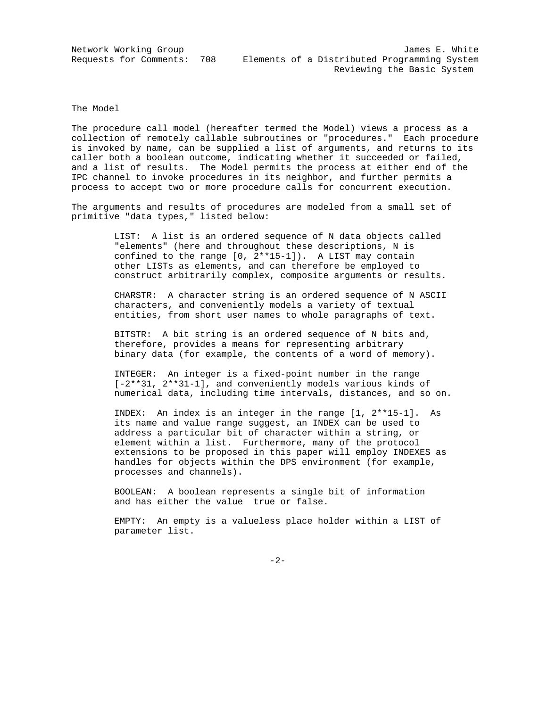The Model

The procedure call model (hereafter termed the Model) views a process as a collection of remotely callable subroutines or "procedures." Each procedure is invoked by name, can be supplied a list of arguments, and returns to its caller both a boolean outcome, indicating whether it succeeded or failed, and a list of results. The Model permits the process at either end of the IPC channel to invoke procedures in its neighbor, and further permits a process to accept two or more procedure calls for concurrent execution.

The arguments and results of procedures are modeled from a small set of primitive "data types," listed below:

> LIST: A list is an ordered sequence of N data objects called "elements" (here and throughout these descriptions, N is confined to the range [0, 2\*\*15-1]). A LIST may contain other LISTs as elements, and can therefore be employed to construct arbitrarily complex, composite arguments or results.

> CHARSTR: A character string is an ordered sequence of N ASCII characters, and conveniently models a variety of textual entities, from short user names to whole paragraphs of text.

 BITSTR: A bit string is an ordered sequence of N bits and, therefore, provides a means for representing arbitrary binary data (for example, the contents of a word of memory).

 INTEGER: An integer is a fixed-point number in the range [-2\*\*31, 2\*\*31-1], and conveniently models various kinds of numerical data, including time intervals, distances, and so on.

 INDEX: An index is an integer in the range [1, 2\*\*15-1]. As its name and value range suggest, an INDEX can be used to address a particular bit of character within a string, or element within a list. Furthermore, many of the protocol extensions to be proposed in this paper will employ INDEXES as handles for objects within the DPS environment (for example, processes and channels).

 BOOLEAN: A boolean represents a single bit of information and has either the value true or false.

 EMPTY: An empty is a valueless place holder within a LIST of parameter list.

-2-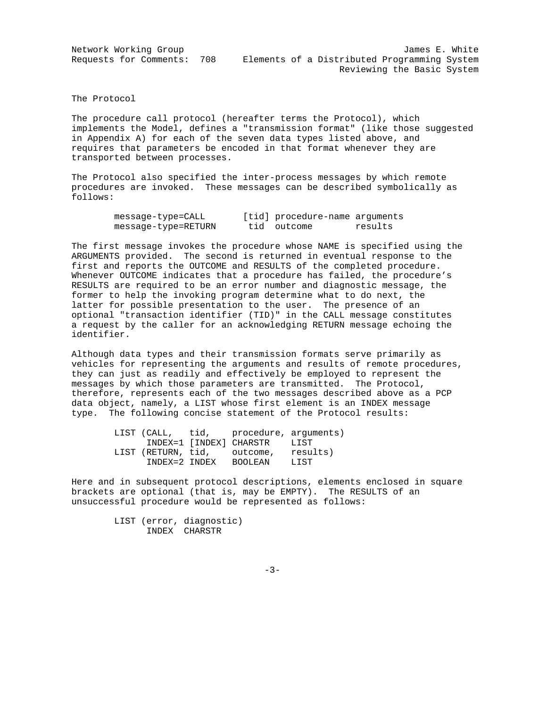Network Working Group James E. White Requests for Comments: 708 Elements of a Distributed Programming System Reviewing the Basic System

The Protocol

The procedure call protocol (hereafter terms the Protocol), which implements the Model, defines a "transmission format" (like those suggested in Appendix A) for each of the seven data types listed above, and requires that parameters be encoded in that format whenever they are transported between processes.

The Protocol also specified the inter-process messages by which remote procedures are invoked. These messages can be described symbolically as follows:

| message-type=CALL   | [tid] procedure-name arguments |         |
|---------------------|--------------------------------|---------|
| message-type=RETURN | tid outcome                    | results |

The first message invokes the procedure whose NAME is specified using the ARGUMENTS provided. The second is returned in eventual response to the first and reports the OUTCOME and RESULTS of the completed procedure. Whenever OUTCOME indicates that a procedure has failed, the procedure's RESULTS are required to be an error number and diagnostic message, the former to help the invoking program determine what to do next, the latter for possible presentation to the user. The presence of an optional "transaction identifier (TID)" in the CALL message constitutes a request by the caller for an acknowledging RETURN message echoing the identifier.

Although data types and their transmission formats serve primarily as vehicles for representing the arguments and results of remote procedures, they can just as readily and effectively be employed to represent the messages by which those parameters are transmitted. The Protocol, therefore, represents each of the two messages described above as a PCP data object, namely, a LIST whose first element is an INDEX message type. The following concise statement of the Protocol results:

|               | LIST (CALL, tid, procedure, arguments) |      |
|---------------|----------------------------------------|------|
|               | INDEX=1 [INDEX] CHARSTR                | LIST |
|               | LIST (RETURN, tid, outcome, results)   |      |
| INDEX=2 INDEX | BOOLEAN                                | LIST |

Here and in subsequent protocol descriptions, elements enclosed in square brackets are optional (that is, may be EMPTY). The RESULTS of an unsuccessful procedure would be represented as follows:

> LIST (error, diagnostic) INDEX CHARSTR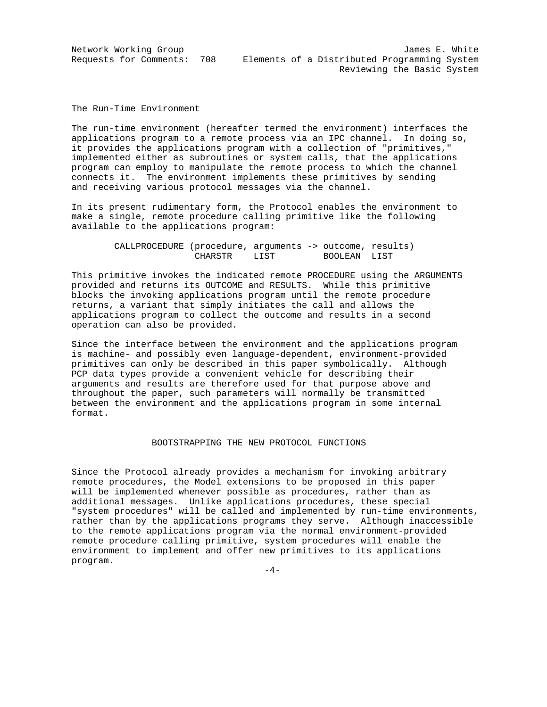Network Working Group James E. White Requests for Comments: 708 Elements of a Distributed Programming System Reviewing the Basic System

The Run-Time Environment

The run-time environment (hereafter termed the environment) interfaces the applications program to a remote process via an IPC channel. In doing so, it provides the applications program with a collection of "primitives," implemented either as subroutines or system calls, that the applications program can employ to manipulate the remote process to which the channel connects it. The environment implements these primitives by sending and receiving various protocol messages via the channel.

In its present rudimentary form, the Protocol enables the environment to make a single, remote procedure calling primitive like the following available to the applications program:

| CALLPROCEDURE (procedure, arguments -> outcome, results) |      |              |  |
|----------------------------------------------------------|------|--------------|--|
| CHARSTR                                                  | LIST | BOOLEAN LIST |  |

This primitive invokes the indicated remote PROCEDURE using the ARGUMENTS provided and returns its OUTCOME and RESULTS. While this primitive blocks the invoking applications program until the remote procedure returns, a variant that simply initiates the call and allows the applications program to collect the outcome and results in a second operation can also be provided.

Since the interface between the environment and the applications program is machine- and possibly even language-dependent, environment-provided primitives can only be described in this paper symbolically. Although PCP data types provide a convenient vehicle for describing their arguments and results are therefore used for that purpose above and throughout the paper, such parameters will normally be transmitted between the environment and the applications program in some internal format.

#### BOOTSTRAPPING THE NEW PROTOCOL FUNCTIONS

Since the Protocol already provides a mechanism for invoking arbitrary remote procedures, the Model extensions to be proposed in this paper will be implemented whenever possible as procedures, rather than as additional messages. Unlike applications procedures, these special "system procedures" will be called and implemented by run-time environments, rather than by the applications programs they serve. Although inaccessible to the remote applications program via the normal environment-provided remote procedure calling primitive, system procedures will enable the environment to implement and offer new primitives to its applications program.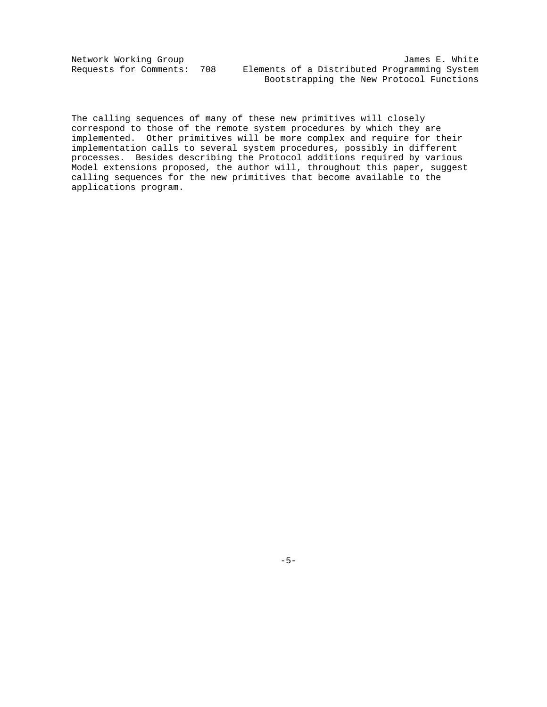Network Working Group James E. White Requests for Comments: 708 Elements of a Distributed Programming System Bootstrapping the New Protocol Functions

The calling sequences of many of these new primitives will closely correspond to those of the remote system procedures by which they are implemented. Other primitives will be more complex and require for their implementation calls to several system procedures, possibly in different processes. Besides describing the Protocol additions required by various Model extensions proposed, the author will, throughout this paper, suggest calling sequences for the new primitives that become available to the applications program.

 $-5-$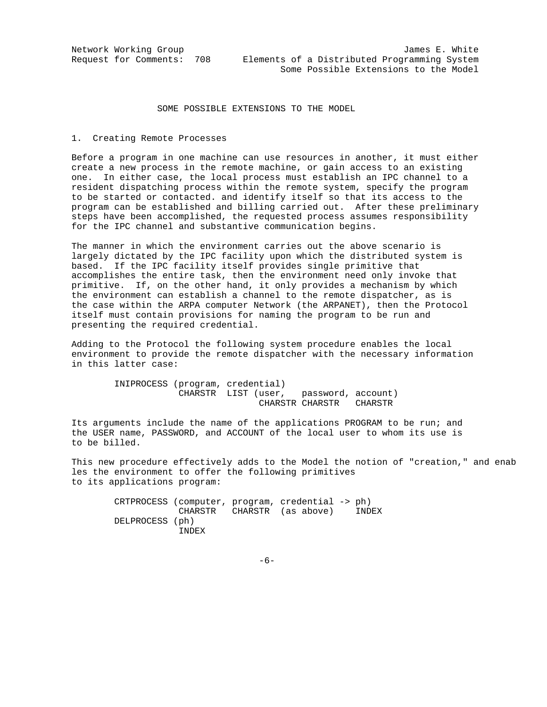### SOME POSSIBLE EXTENSIONS TO THE MODEL

#### 1. Creating Remote Processes

Before a program in one machine can use resources in another, it must either create a new process in the remote machine, or gain access to an existing one. In either case, the local process must establish an IPC channel to a resident dispatching process within the remote system, specify the program to be started or contacted. and identify itself so that its access to the program can be established and billing carried out. After these preliminary steps have been accomplished, the requested process assumes responsibility for the IPC channel and substantive communication begins.

The manner in which the environment carries out the above scenario is largely dictated by the IPC facility upon which the distributed system is based. If the IPC facility itself provides single primitive that accomplishes the entire task, then the environment need only invoke that primitive. If, on the other hand, it only provides a mechanism by which the environment can establish a channel to the remote dispatcher, as is the case within the ARPA computer Network (the ARPANET), then the Protocol itself must contain provisions for naming the program to be run and presenting the required credential.

Adding to the Protocol the following system procedure enables the local environment to provide the remote dispatcher with the necessary information in this latter case:

> INIPROCESS (program, credential) CHARSTR LIST (user, password, account) CHARSTR CHARSTR CHARSTR

Its arguments include the name of the applications PROGRAM to be run; and the USER name, PASSWORD, and ACCOUNT of the local user to whom its use is to be billed.

This new procedure effectively adds to the Model the notion of "creation," and enab les the environment to offer the following primitives to its applications program:

 CRTPROCESS (computer, program, credential -> ph) CHARSTR CHARSTR (as above) INDEX DELPROCESS (ph) INDEX

 $-6-$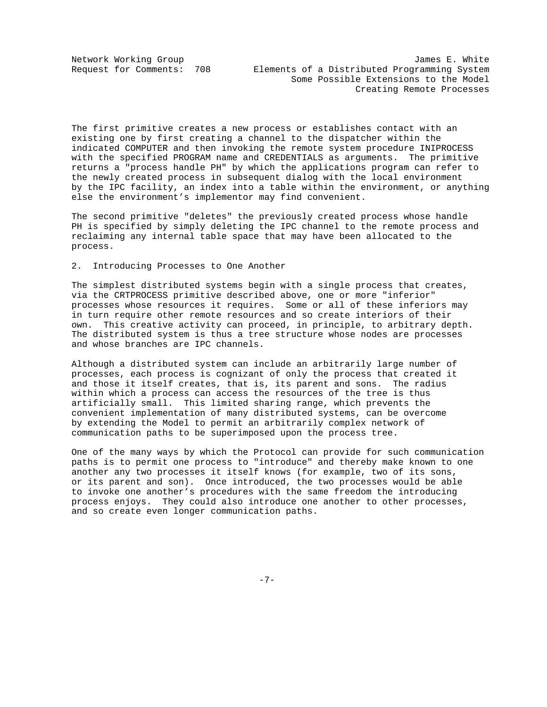Network Working Group 30 and 1999 and 1999 and 1999 and 1999 and 1999 and 1999 and 1999 and 1999 and 1999 and 1 Request for Comments: 708 Elements of a Distributed Programming System Some Possible Extensions to the Model Creating Remote Processes

The first primitive creates a new process or establishes contact with an existing one by first creating a channel to the dispatcher within the indicated COMPUTER and then invoking the remote system procedure INIPROCESS with the specified PROGRAM name and CREDENTIALS as arguments. The primitive returns a "process handle PH" by which the applications program can refer to the newly created process in subsequent dialog with the local environment by the IPC facility, an index into a table within the environment, or anything else the environment's implementor may find convenient.

The second primitive "deletes" the previously created process whose handle PH is specified by simply deleting the IPC channel to the remote process and reclaiming any internal table space that may have been allocated to the process.

2. Introducing Processes to One Another

The simplest distributed systems begin with a single process that creates, via the CRTPROCESS primitive described above, one or more "inferior" processes whose resources it requires. Some or all of these inferiors may in turn require other remote resources and so create interiors of their own. This creative activity can proceed, in principle, to arbitrary depth. The distributed system is thus a tree structure whose nodes are processes and whose branches are IPC channels.

Although a distributed system can include an arbitrarily large number of processes, each process is cognizant of only the process that created it and those it itself creates, that is, its parent and sons. The radius within which a process can access the resources of the tree is thus artificially small. This limited sharing range, which prevents the convenient implementation of many distributed systems, can be overcome by extending the Model to permit an arbitrarily complex network of communication paths to be superimposed upon the process tree.

One of the many ways by which the Protocol can provide for such communication paths is to permit one process to "introduce" and thereby make known to one another any two processes it itself knows (for example, two of its sons, or its parent and son). Once introduced, the two processes would be able to invoke one another's procedures with the same freedom the introducing process enjoys. They could also introduce one another to other processes, and so create even longer communication paths.

-7-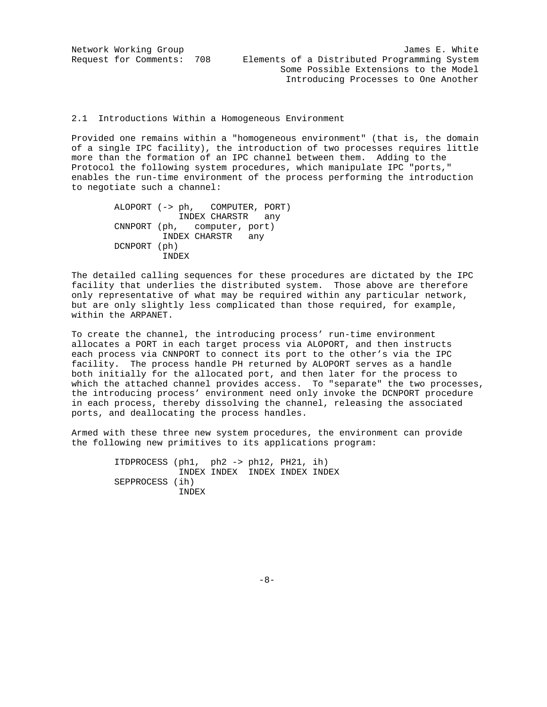Network Working Group James E. White Request for Comments: 708 Elements of a Distributed Programming System Some Possible Extensions to the Model Introducing Processes to One Another

2.1 Introductions Within a Homogeneous Environment

Provided one remains within a "homogeneous environment" (that is, the domain of a single IPC facility), the introduction of two processes requires little more than the formation of an IPC channel between them. Adding to the Protocol the following system procedures, which manipulate IPC "ports," enables the run-time environment of the process performing the introduction to negotiate such a channel:

> ALOPORT (-> ph, COMPUTER, PORT) INDEX CHARSTR any CNNPORT (ph, computer, port) INDEX CHARSTR any DCNPORT (ph) INDEX

The detailed calling sequences for these procedures are dictated by the IPC facility that underlies the distributed system. Those above are therefore only representative of what may be required within any particular network, but are only slightly less complicated than those required, for example, within the ARPANET.

To create the channel, the introducing process' run-time environment allocates a PORT in each target process via ALOPORT, and then instructs each process via CNNPORT to connect its port to the other's via the IPC facility. The process handle PH returned by ALOPORT serves as a handle both initially for the allocated port, and then later for the process to which the attached channel provides access. To "separate" the two processes, the introducing process' environment need only invoke the DCNPORT procedure in each process, thereby dissolving the channel, releasing the associated ports, and deallocating the process handles.

Armed with these three new system procedures, the environment can provide the following new primitives to its applications program:

> ITDPROCESS (ph1, ph2 -> ph12, PH21, ih) INDEX INDEX INDEX INDEX INDEX SEPPROCESS (ih) INDEX

 $-8-$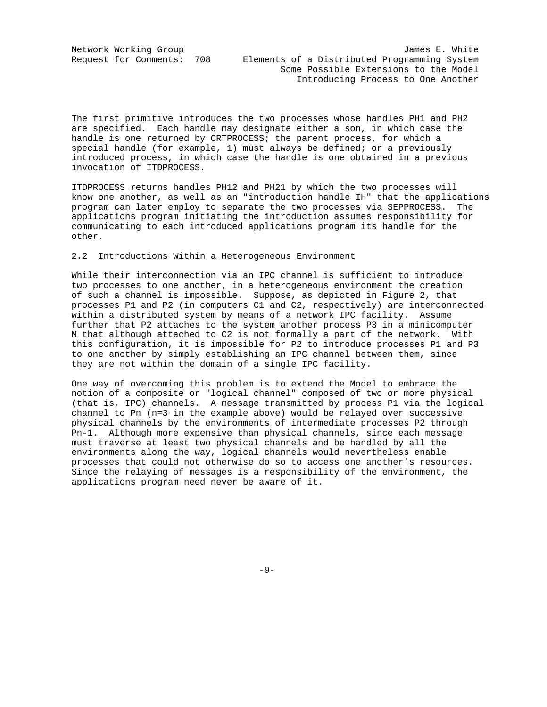The first primitive introduces the two processes whose handles PH1 and PH2 are specified. Each handle may designate either a son, in which case the handle is one returned by CRTPROCESS; the parent process, for which a special handle (for example,  $1$ ) must always be defined; or a previously introduced process, in which case the handle is one obtained in a previous invocation of ITDPROCESS.

ITDPROCESS returns handles PH12 and PH21 by which the two processes will know one another, as well as an "introduction handle IH" that the applications program can later employ to separate the two processes via SEPPROCESS. The applications program initiating the introduction assumes responsibility for communicating to each introduced applications program its handle for the other.

#### 2.2 Introductions Within a Heterogeneous Environment

While their interconnection via an IPC channel is sufficient to introduce two processes to one another, in a heterogeneous environment the creation of such a channel is impossible. Suppose, as depicted in Figure 2, that processes P1 and P2 (in computers C1 and C2, respectively) are interconnected within a distributed system by means of a network IPC facility. Assume further that P2 attaches to the system another process P3 in a minicomputer M that although attached to C2 is not formally a part of the network. With this configuration, it is impossible for P2 to introduce processes P1 and P3 to one another by simply establishing an IPC channel between them, since they are not within the domain of a single IPC facility.

One way of overcoming this problem is to extend the Model to embrace the notion of a composite or "logical channel" composed of two or more physical (that is, IPC) channels. A message transmitted by process P1 via the logical channel to Pn (n=3 in the example above) would be relayed over successive physical channels by the environments of intermediate processes P2 through Pn-1. Although more expensive than physical channels, since each message must traverse at least two physical channels and be handled by all the environments along the way, logical channels would nevertheless enable processes that could not otherwise do so to access one another's resources. Since the relaying of messages is a responsibility of the environment, the applications program need never be aware of it.

-9-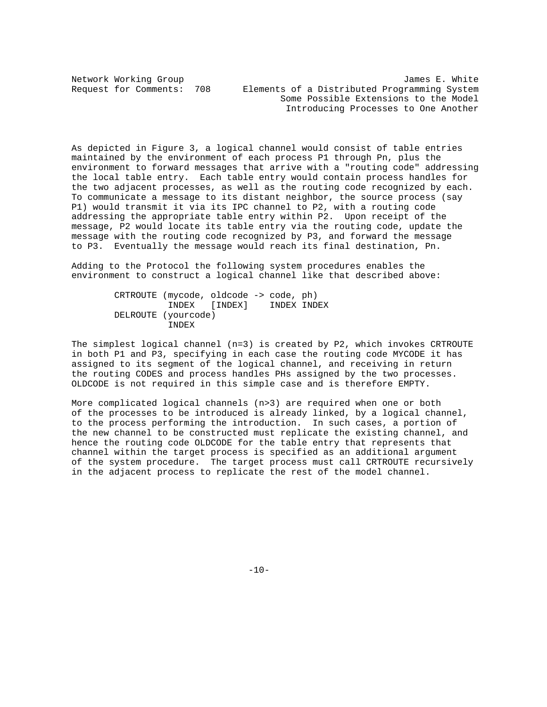Network Working Group<br>Request for Comments: 708 Elements of a Distributed Programming System Elements of a Distributed Programming System Some Possible Extensions to the Model Introducing Processes to One Another

As depicted in Figure 3, a logical channel would consist of table entries maintained by the environment of each process P1 through Pn, plus the environment to forward messages that arrive with a "routing code" addressing the local table entry. Each table entry would contain process handles for the two adjacent processes, as well as the routing code recognized by each. To communicate a message to its distant neighbor, the source process (say P1) would transmit it via its IPC channel to P2, with a routing code addressing the appropriate table entry within P2. Upon receipt of the message, P2 would locate its table entry via the routing code, update the message with the routing code recognized by P3, and forward the message to P3. Eventually the message would reach its final destination, Pn.

Adding to the Protocol the following system procedures enables the environment to construct a logical channel like that described above:

> CRTROUTE (mycode, oldcode -> code, ph) INDEX [INDEX] DELROUTE (yourcode) INDEX

The simplest logical channel (n=3) is created by P2, which invokes CRTROUTE in both P1 and P3, specifying in each case the routing code MYCODE it has assigned to its segment of the logical channel, and receiving in return the routing CODES and process handles PHs assigned by the two processes. OLDCODE is not required in this simple case and is therefore EMPTY.

More complicated logical channels (n>3) are required when one or both of the processes to be introduced is already linked, by a logical channel, to the process performing the introduction. In such cases, a portion of the new channel to be constructed must replicate the existing channel, and hence the routing code OLDCODE for the table entry that represents that channel within the target process is specified as an additional argument of the system procedure. The target process must call CRTROUTE recursively in the adjacent process to replicate the rest of the model channel.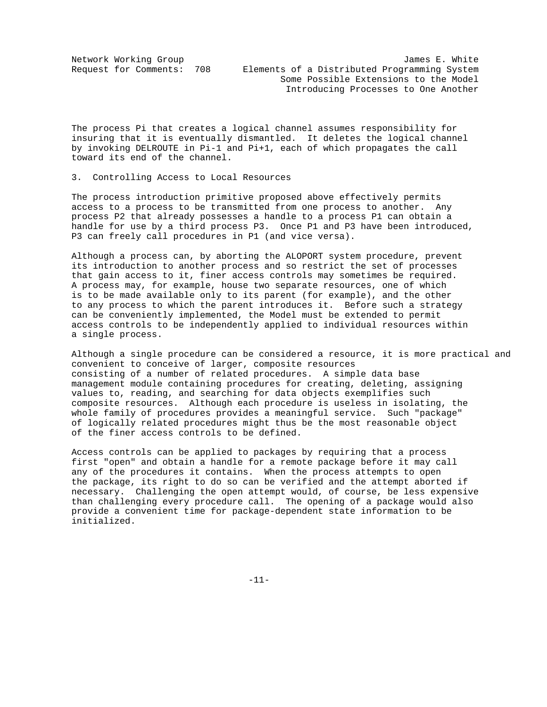The process Pi that creates a logical channel assumes responsibility for insuring that it is eventually dismantled. It deletes the logical channel by invoking DELROUTE in Pi-1 and Pi+1, each of which propagates the call toward its end of the channel.

### 3. Controlling Access to Local Resources

The process introduction primitive proposed above effectively permits access to a process to be transmitted from one process to another. Any process P2 that already possesses a handle to a process P1 can obtain a handle for use by a third process P3. Once P1 and P3 have been introduced, P3 can freely call procedures in P1 (and vice versa).

Although a process can, by aborting the ALOPORT system procedure, prevent its introduction to another process and so restrict the set of processes that gain access to it, finer access controls may sometimes be required. A process may, for example, house two separate resources, one of which is to be made available only to its parent (for example), and the other to any process to which the parent introduces it. Before such a strategy can be conveniently implemented, the Model must be extended to permit access controls to be independently applied to individual resources within a single process.

Although a single procedure can be considered a resource, it is more practical and convenient to conceive of larger, composite resources consisting of a number of related procedures. A simple data base management module containing procedures for creating, deleting, assigning values to, reading, and searching for data objects exemplifies such composite resources. Although each procedure is useless in isolating, the whole family of procedures provides a meaningful service. Such "package" of logically related procedures might thus be the most reasonable object of the finer access controls to be defined.

Access controls can be applied to packages by requiring that a process first "open" and obtain a handle for a remote package before it may call any of the procedures it contains. When the process attempts to open the package, its right to do so can be verified and the attempt aborted if necessary. Challenging the open attempt would, of course, be less expensive than challenging every procedure call. The opening of a package would also provide a convenient time for package-dependent state information to be initialized.

-11-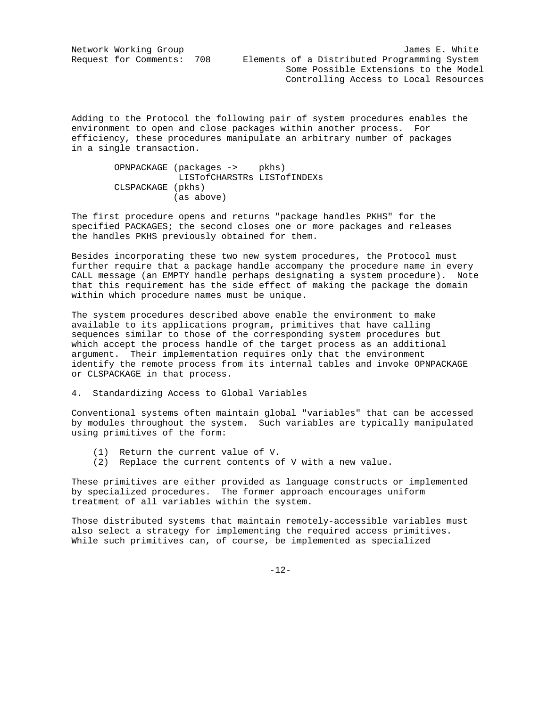Network Working Group James E. White Request for Comments: 708 Elements of a Distributed Programming System Some Possible Extensions to the Model Controlling Access to Local Resources

Adding to the Protocol the following pair of system procedures enables the environment to open and close packages within another process. For efficiency, these procedures manipulate an arbitrary number of packages in a single transaction.

### OPNPACKAGE (packages -> pkhs) LISTofCHARSTRs LISTofINDEXs CLSPACKAGE (pkhs) (as above)

The first procedure opens and returns "package handles PKHS" for the specified PACKAGES; the second closes one or more packages and releases the handles PKHS previously obtained for them.

Besides incorporating these two new system procedures, the Protocol must further require that a package handle accompany the procedure name in every CALL message (an EMPTY handle perhaps designating a system procedure). Note that this requirement has the side effect of making the package the domain within which procedure names must be unique.

The system procedures described above enable the environment to make available to its applications program, primitives that have calling sequences similar to those of the corresponding system procedures but which accept the process handle of the target process as an additional argument. Their implementation requires only that the environment identify the remote process from its internal tables and invoke OPNPACKAGE or CLSPACKAGE in that process.

4. Standardizing Access to Global Variables

Conventional systems often maintain global "variables" that can be accessed by modules throughout the system. Such variables are typically manipulated using primitives of the form:

- (1) Return the current value of V.
- (2) Replace the current contents of V with a new value.

These primitives are either provided as language constructs or implemented by specialized procedures. The former approach encourages uniform treatment of all variables within the system.

Those distributed systems that maintain remotely-accessible variables must also select a strategy for implementing the required access primitives. While such primitives can, of course, be implemented as specialized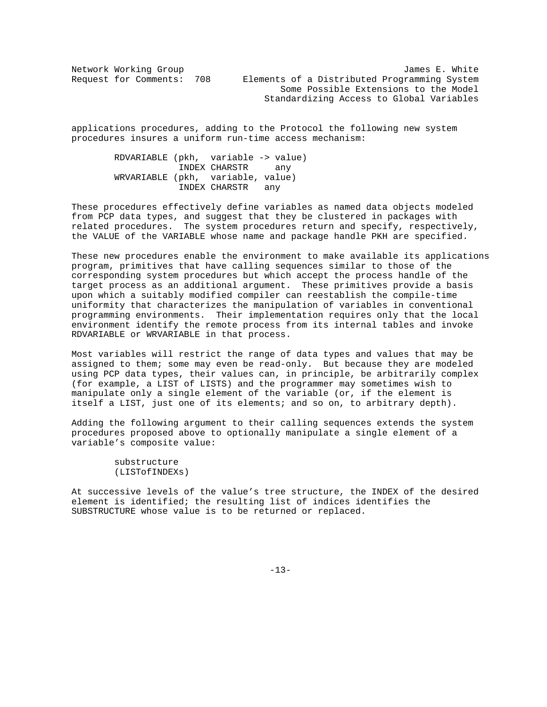Network Working Group James E. White Request for Comments: 708 Elements of a Distributed Programming System Some Possible Extensions to the Model Standardizing Access to Global Variables

applications procedures, adding to the Protocol the following new system procedures insures a uniform run-time access mechanism:

> RDVARIABLE (pkh, variable -> value) INDEX CHARSTR any WRVARIABLE (pkh, variable, value) INDEX CHARSTR any

These procedures effectively define variables as named data objects modeled from PCP data types, and suggest that they be clustered in packages with related procedures. The system procedures return and specify, respectively, the VALUE of the VARIABLE whose name and package handle PKH are specified.

These new procedures enable the environment to make available its applications program, primitives that have calling sequences similar to those of the corresponding system procedures but which accept the process handle of the target process as an additional argument. These primitives provide a basis upon which a suitably modified compiler can reestablish the compile-time uniformity that characterizes the manipulation of variables in conventional programming environments. Their implementation requires only that the local environment identify the remote process from its internal tables and invoke RDVARIABLE or WRVARIABLE in that process.

Most variables will restrict the range of data types and values that may be assigned to them; some may even be read-only. But because they are modeled using PCP data types, their values can, in principle, be arbitrarily complex (for example, a LIST of LISTS) and the programmer may sometimes wish to manipulate only a single element of the variable (or, if the element is itself a LIST, just one of its elements; and so on, to arbitrary depth).

Adding the following argument to their calling sequences extends the system procedures proposed above to optionally manipulate a single element of a variable's composite value:

> substructure (LISTofINDEXs)

At successive levels of the value's tree structure, the INDEX of the desired element is identified; the resulting list of indices identifies the SUBSTRUCTURE whose value is to be returned or replaced.

-13-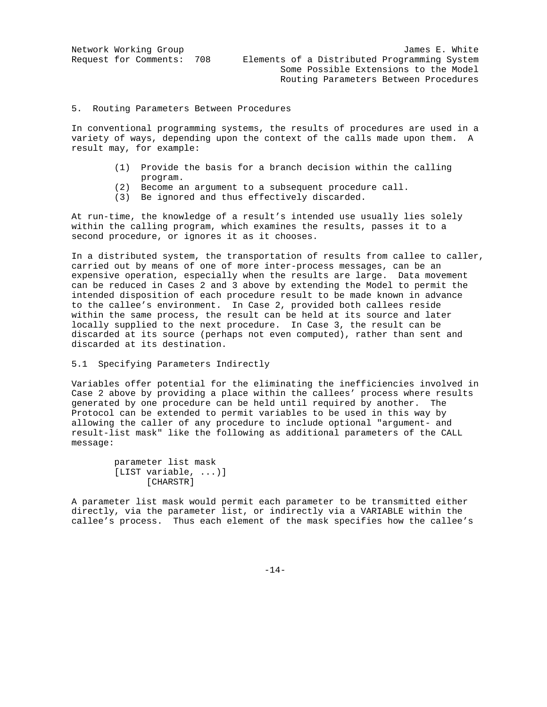| Network Working Group     | James E. White                               |
|---------------------------|----------------------------------------------|
| Request for Comments: 708 | Elements of a Distributed Programming System |
|                           | Some Possible Extensions to the Model        |
|                           | Routing Parameters Between Procedures        |

#### 5. Routing Parameters Between Procedures

In conventional programming systems, the results of procedures are used in a variety of ways, depending upon the context of the calls made upon them. A result may, for example:

- (1) Provide the basis for a branch decision within the calling program.
- (2) Become an argument to a subsequent procedure call.
- (3) Be ignored and thus effectively discarded.

At run-time, the knowledge of a result's intended use usually lies solely within the calling program, which examines the results, passes it to a second procedure, or ignores it as it chooses.

In a distributed system, the transportation of results from callee to caller, carried out by means of one of more inter-process messages, can be an expensive operation, especially when the results are large. Data movement can be reduced in Cases 2 and 3 above by extending the Model to permit the intended disposition of each procedure result to be made known in advance to the callee's environment. In Case 2, provided both callees reside within the same process, the result can be held at its source and later locally supplied to the next procedure. In Case 3, the result can be discarded at its source (perhaps not even computed), rather than sent and discarded at its destination.

### 5.1 Specifying Parameters Indirectly

Variables offer potential for the eliminating the inefficiencies involved in Case 2 above by providing a place within the callees' process where results generated by one procedure can be held until required by another. The Protocol can be extended to permit variables to be used in this way by allowing the caller of any procedure to include optional "argument- and result-list mask" like the following as additional parameters of the CALL message:

A parameter list mask would permit each parameter to be transmitted either directly, via the parameter list, or indirectly via a VARIABLE within the callee's process. Thus each element of the mask specifies how the callee's

-14-

parameter list mask [LIST variable, ...)] [CHARSTR]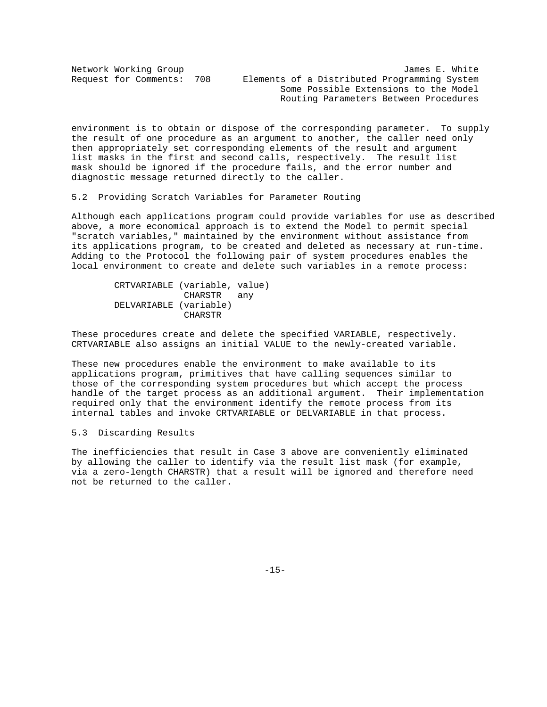| Network Working Group     | James E. White                               |
|---------------------------|----------------------------------------------|
| Request for Comments: 708 | Elements of a Distributed Programming System |
|                           | Some Possible Extensions to the Model        |
|                           | Routing Parameters Between Procedures        |

environment is to obtain or dispose of the corresponding parameter. To supply the result of one procedure as an argument to another, the caller need only then appropriately set corresponding elements of the result and argument list masks in the first and second calls, respectively. The result list mask should be ignored if the procedure fails, and the error number and diagnostic message returned directly to the caller.

5.2 Providing Scratch Variables for Parameter Routing

Although each applications program could provide variables for use as described above, a more economical approach is to extend the Model to permit special "scratch variables," maintained by the environment without assistance from its applications program, to be created and deleted as necessary at run-time. Adding to the Protocol the following pair of system procedures enables the local environment to create and delete such variables in a remote process:

 CRTVARIABLE (variable, value) CHARSTR any DELVARIABLE (variable) CHARSTR

These procedures create and delete the specified VARIABLE, respectively. CRTVARIABLE also assigns an initial VALUE to the newly-created variable.

These new procedures enable the environment to make available to its applications program, primitives that have calling sequences similar to those of the corresponding system procedures but which accept the process handle of the target process as an additional argument. Their implementation required only that the environment identify the remote process from its internal tables and invoke CRTVARIABLE or DELVARIABLE in that process.

#### 5.3 Discarding Results

The inefficiencies that result in Case 3 above are conveniently eliminated by allowing the caller to identify via the result list mask (for example, via a zero-length CHARSTR) that a result will be ignored and therefore need not be returned to the caller.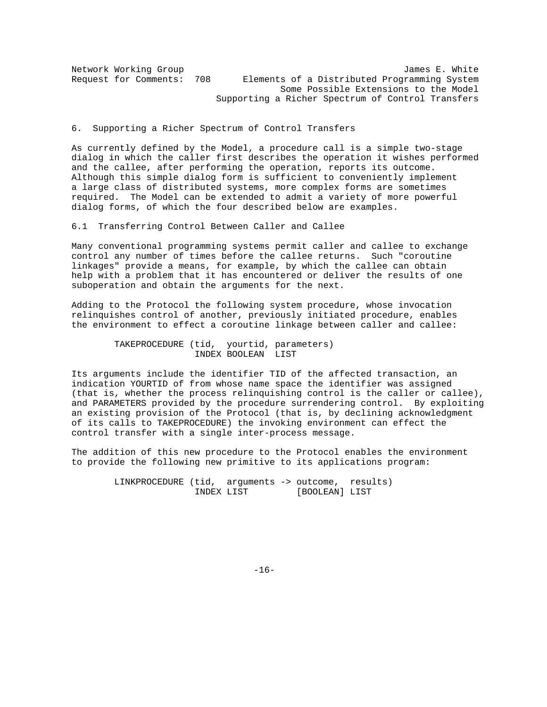Network Working Group James E. White Request for Comments: 708 Elements of a Distributed Programming System Some Possible Extensions to the Model Supporting a Richer Spectrum of Control Transfers

6. Supporting a Richer Spectrum of Control Transfers

As currently defined by the Model, a procedure call is a simple two-stage dialog in which the caller first describes the operation it wishes performed and the callee, after performing the operation, reports its outcome. Although this simple dialog form is sufficient to conveniently implement a large class of distributed systems, more complex forms are sometimes required. The Model can be extended to admit a variety of more powerful dialog forms, of which the four described below are examples.

6.1 Transferring Control Between Caller and Callee

Many conventional programming systems permit caller and callee to exchange control any number of times before the callee returns. Such "coroutine linkages" provide a means, for example, by which the callee can obtain help with a problem that it has encountered or deliver the results of one suboperation and obtain the arguments for the next.

Adding to the Protocol the following system procedure, whose invocation relinquishes control of another, previously initiated procedure, enables the environment to effect a coroutine linkage between caller and callee:

> TAKEPROCEDURE (tid, yourtid, parameters) INDEX BOOLEAN LIST

Its arguments include the identifier TID of the affected transaction, an indication YOURTID of from whose name space the identifier was assigned (that is, whether the process relinquishing control is the caller or callee), and PARAMETERS provided by the procedure surrendering control. By exploiting an existing provision of the Protocol (that is, by declining acknowledgment of its calls to TAKEPROCEDURE) the invoking environment can effect the control transfer with a single inter-process message.

The addition of this new procedure to the Protocol enables the environment to provide the following new primitive to its applications program:

> LINKPROCEDURE (tid, arguments -> outcome, results) INDEX LIST [BOOLEAN] LIST

-16-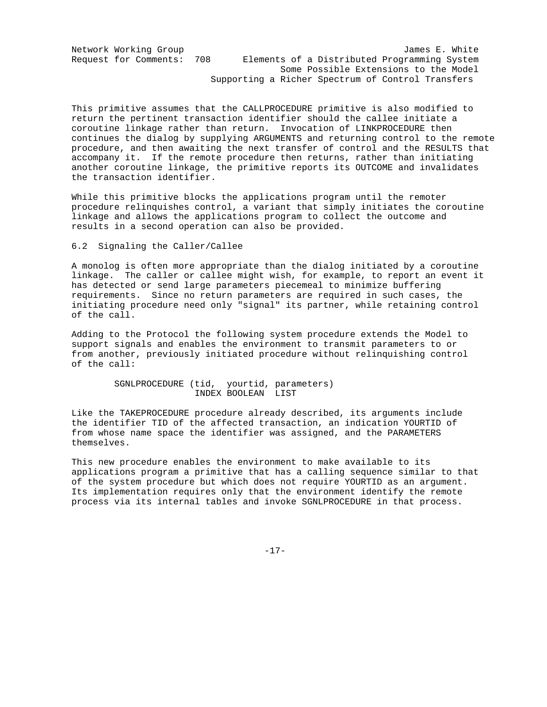Network Working Group James E. White Request for Comments: 708 Elements of a Distributed Programming System Some Possible Extensions to the Model Supporting a Richer Spectrum of Control Transfers

This primitive assumes that the CALLPROCEDURE primitive is also modified to return the pertinent transaction identifier should the callee initiate a coroutine linkage rather than return. Invocation of LINKPROCEDURE then continues the dialog by supplying ARGUMENTS and returning control to the remote procedure, and then awaiting the next transfer of control and the RESULTS that accompany it. If the remote procedure then returns, rather than initiating another coroutine linkage, the primitive reports its OUTCOME and invalidates the transaction identifier.

While this primitive blocks the applications program until the remoter procedure relinquishes control, a variant that simply initiates the coroutine linkage and allows the applications program to collect the outcome and results in a second operation can also be provided.

6.2 Signaling the Caller/Callee

A monolog is often more appropriate than the dialog initiated by a coroutine linkage. The caller or callee might wish, for example, to report an event it has detected or send large parameters piecemeal to minimize buffering requirements. Since no return parameters are required in such cases, the initiating procedure need only "signal" its partner, while retaining control of the call.

Adding to the Protocol the following system procedure extends the Model to support signals and enables the environment to transmit parameters to or from another, previously initiated procedure without relinquishing control of the call:

> SGNLPROCEDURE (tid, yourtid, parameters) INDEX BOOLEAN LIST

Like the TAKEPROCEDURE procedure already described, its arguments include the identifier TID of the affected transaction, an indication YOURTID of from whose name space the identifier was assigned, and the PARAMETERS themselves.

This new procedure enables the environment to make available to its applications program a primitive that has a calling sequence similar to that of the system procedure but which does not require YOURTID as an argument. Its implementation requires only that the environment identify the remote process via its internal tables and invoke SGNLPROCEDURE in that process.

-17-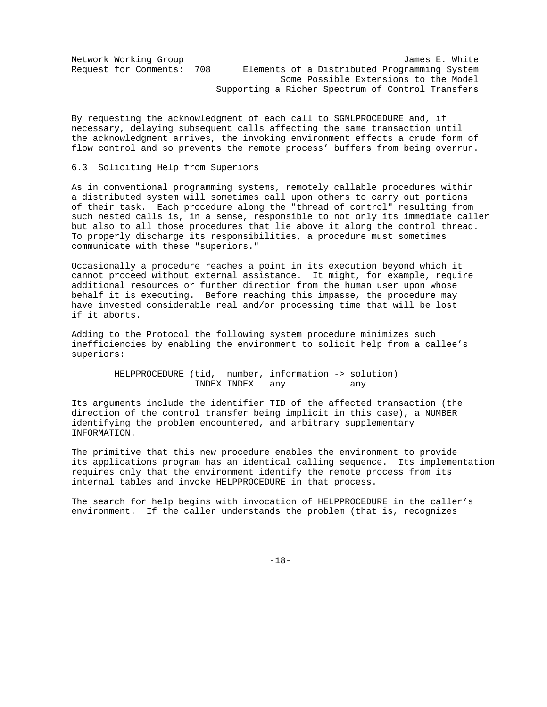Network Working Group James E. White Request for Comments: 708 Elements of a Distributed Programming System Some Possible Extensions to the Model Supporting a Richer Spectrum of Control Transfers

By requesting the acknowledgment of each call to SGNLPROCEDURE and, if necessary, delaying subsequent calls affecting the same transaction until the acknowledgment arrives, the invoking environment effects a crude form of flow control and so prevents the remote process' buffers from being overrun.

#### 6.3 Soliciting Help from Superiors

As in conventional programming systems, remotely callable procedures within a distributed system will sometimes call upon others to carry out portions of their task. Each procedure along the "thread of control" resulting from such nested calls is, in a sense, responsible to not only its immediate caller but also to all those procedures that lie above it along the control thread. To properly discharge its responsibilities, a procedure must sometimes communicate with these "superiors."

Occasionally a procedure reaches a point in its execution beyond which it cannot proceed without external assistance. It might, for example, require additional resources or further direction from the human user upon whose behalf it is executing. Before reaching this impasse, the procedure may have invested considerable real and/or processing time that will be lost if it aborts.

Adding to the Protocol the following system procedure minimizes such inefficiencies by enabling the environment to solicit help from a callee's superiors:

> HELPPROCEDURE (tid, number, information -> solution) INDEX INDEX any any

Its arguments include the identifier TID of the affected transaction (the direction of the control transfer being implicit in this case), a NUMBER identifying the problem encountered, and arbitrary supplementary INFORMATION.

The primitive that this new procedure enables the environment to provide its applications program has an identical calling sequence. Its implementation requires only that the environment identify the remote process from its internal tables and invoke HELPPROCEDURE in that process.

The search for help begins with invocation of HELPPROCEDURE in the caller's environment. If the caller understands the problem (that is, recognizes

-18-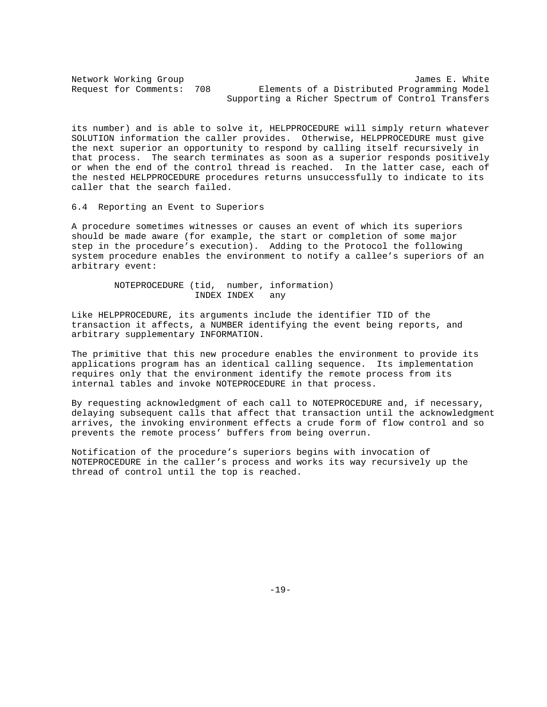Network Working Group<br>Request for Comments: 708 Elements of a Distributed Programming Model Elements of a Distributed Programming Model Supporting a Richer Spectrum of Control Transfers

its number) and is able to solve it, HELPPROCEDURE will simply return whatever SOLUTION information the caller provides. Otherwise, HELPPROCEDURE must give the next superior an opportunity to respond by calling itself recursively in that process. The search terminates as soon as a superior responds positively or when the end of the control thread is reached. In the latter case, each of the nested HELPPROCEDURE procedures returns unsuccessfully to indicate to its caller that the search failed.

6.4 Reporting an Event to Superiors

A procedure sometimes witnesses or causes an event of which its superiors should be made aware (for example, the start or completion of some major step in the procedure's execution). Adding to the Protocol the following system procedure enables the environment to notify a callee's superiors of an arbitrary event:

 NOTEPROCEDURE (tid, number, information) INDEX INDEX any

Like HELPPROCEDURE, its arguments include the identifier TID of the transaction it affects, a NUMBER identifying the event being reports, and arbitrary supplementary INFORMATION.

The primitive that this new procedure enables the environment to provide its applications program has an identical calling sequence. Its implementation requires only that the environment identify the remote process from its internal tables and invoke NOTEPROCEDURE in that process.

By requesting acknowledgment of each call to NOTEPROCEDURE and, if necessary, delaying subsequent calls that affect that transaction until the acknowledgment arrives, the invoking environment effects a crude form of flow control and so prevents the remote process' buffers from being overrun.

Notification of the procedure's superiors begins with invocation of NOTEPROCEDURE in the caller's process and works its way recursively up the thread of control until the top is reached.

-19-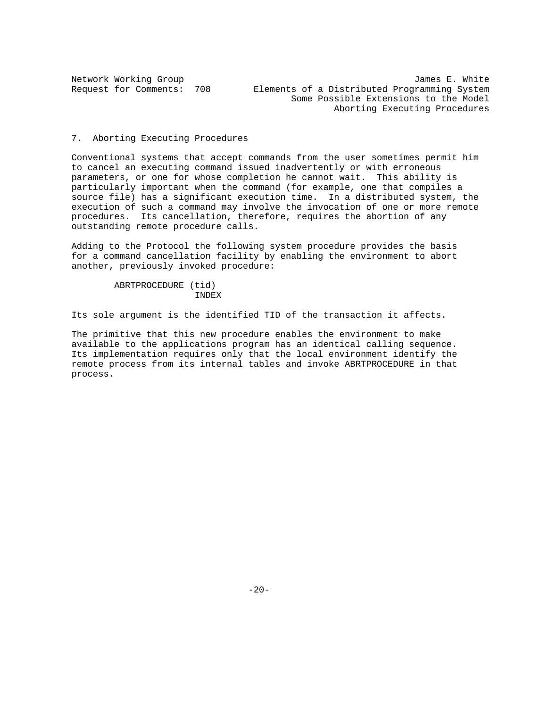Network Working Group James E. White Request for Comments: 708 Elements of a Distributed Programming System Some Possible Extensions to the Model Aborting Executing Procedures

#### 7. Aborting Executing Procedures

Conventional systems that accept commands from the user sometimes permit him to cancel an executing command issued inadvertently or with erroneous parameters, or one for whose completion he cannot wait. This ability is particularly important when the command (for example, one that compiles a source file) has a significant execution time. In a distributed system, the execution of such a command may involve the invocation of one or more remote procedures. Its cancellation, therefore, requires the abortion of any outstanding remote procedure calls.

Adding to the Protocol the following system procedure provides the basis for a command cancellation facility by enabling the environment to abort another, previously invoked procedure:

```
 ABRTPROCEDURE (tid)
                INDEX
```
Its sole argument is the identified TID of the transaction it affects.

The primitive that this new procedure enables the environment to make available to the applications program has an identical calling sequence. Its implementation requires only that the local environment identify the remote process from its internal tables and invoke ABRTPROCEDURE in that process.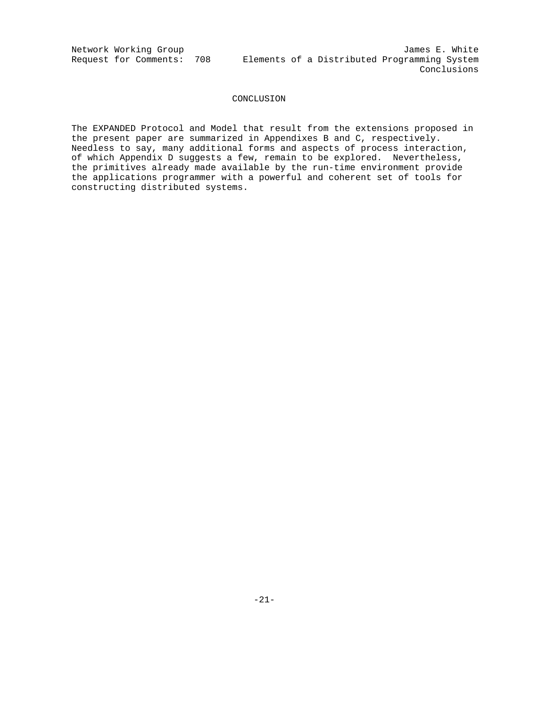Network Working Group James E. White Request for Comments: 708 Elements of a Distributed Programming System Conclusions

### CONCLUSION

The EXPANDED Protocol and Model that result from the extensions proposed in the present paper are summarized in Appendixes B and C, respectively. Needless to say, many additional forms and aspects of process interaction, of which Appendix D suggests a few, remain to be explored. Nevertheless, the primitives already made available by the run-time environment provide the applications programmer with a powerful and coherent set of tools for constructing distributed systems.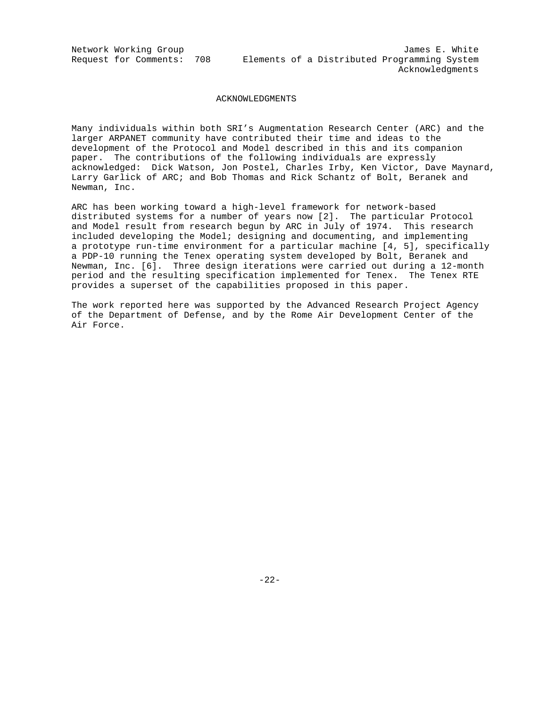Network Working Group James E. White Request for Comments: 708 Elements of a Distributed Programming System Acknowledgments

#### ACKNOWLEDGMENTS

Many individuals within both SRI's Augmentation Research Center (ARC) and the larger ARPANET community have contributed their time and ideas to the development of the Protocol and Model described in this and its companion paper. The contributions of the following individuals are expressly acknowledged: Dick Watson, Jon Postel, Charles Irby, Ken Victor, Dave Maynard, Larry Garlick of ARC; and Bob Thomas and Rick Schantz of Bolt, Beranek and Newman, Inc.

ARC has been working toward a high-level framework for network-based distributed systems for a number of years now [2]. The particular Protocol and Model result from research begun by ARC in July of 1974. This research included developing the Model; designing and documenting, and implementing a prototype run-time environment for a particular machine [4, 5], specifically a PDP-10 running the Tenex operating system developed by Bolt, Beranek and Newman, Inc. [6]. Three design iterations were carried out during a 12-month period and the resulting specification implemented for Tenex. The Tenex RTE provides a superset of the capabilities proposed in this paper.

The work reported here was supported by the Advanced Research Project Agency of the Department of Defense, and by the Rome Air Development Center of the Air Force.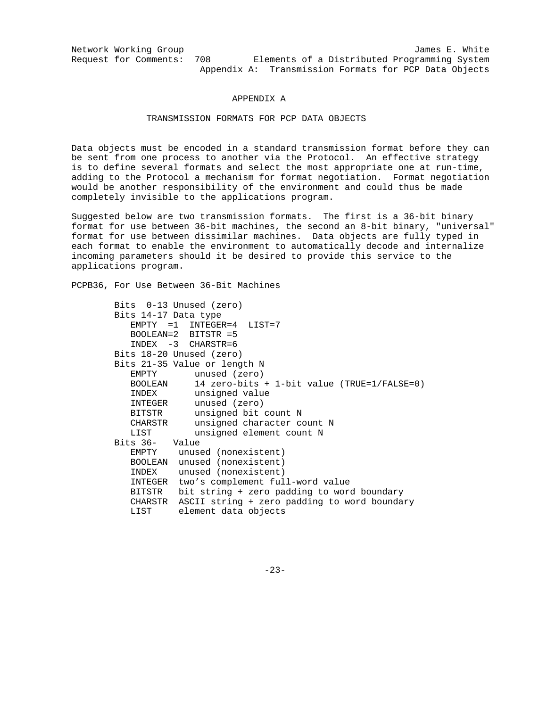Network Working Group 30 and 1999 and 1999 and 1999 and 1999 and 1999 and 1999 and 1999 and 1999 and 1999 and 1 Request for Comments: 708 Elements of a Distributed Programming System Appendix A: Transmission Formats for PCP Data Objects

#### APPENDIX A

## TRANSMISSION FORMATS FOR PCP DATA OBJECTS

Data objects must be encoded in a standard transmission format before they can be sent from one process to another via the Protocol. An effective strategy is to define several formats and select the most appropriate one at run-time, adding to the Protocol a mechanism for format negotiation. Format negotiation would be another responsibility of the environment and could thus be made completely invisible to the applications program.

Suggested below are two transmission formats. The first is a 36-bit binary format for use between 36-bit machines, the second an 8-bit binary, "universal" format for use between dissimilar machines. Data objects are fully typed in each format to enable the environment to automatically decode and internalize incoming parameters should it be desired to provide this service to the applications program.

PCPB36, For Use Between 36-Bit Machines

|                      | Bits 0-13 Unused (zero)                         |
|----------------------|-------------------------------------------------|
| Bits 14-17 Data type |                                                 |
|                      | $EMPTY = 1 INTEGR = 4 LIST = 7$                 |
|                      | $BOOLEAN = 2$ BITSTR = 5                        |
|                      | $INDEX$ -3 CHARSTR=6                            |
|                      | Bits 18-20 Unused (zero)                        |
|                      | Bits 21-35 Value or length N                    |
|                      | EMPTY unused (zero)                             |
| BOOLEAN              | 14 zero-bits + 1-bit value (TRUE= $1/FALSE=0$ ) |
|                      | INDEX unsigned value                            |
|                      | INTEGER unused (zero)                           |
| BITSTR               | unsigned bit count N                            |
| CHARSTR              | unsigned character count N                      |
| LIST                 | unsigned element count N                        |
| Bits 36- Value       |                                                 |
|                      | EMPTY unused (nonexistent)                      |
|                      | BOOLEAN unused (nonexistent)                    |
| INDEX                | unused (nonexistent)                            |
| INTEGER              | two's complement full-word value                |
| BITSTR               | bit string + zero padding to word boundary      |
| CHARSTR              | ASCII string + zero padding to word boundary    |
|                      | LIST element data objects                       |

-23-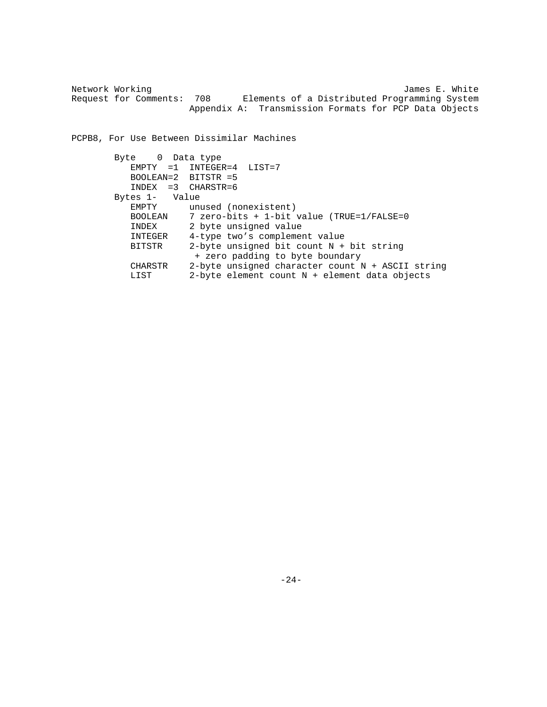Network Working  $J$  and  $J$  and  $J$  and  $J$  and  $J$  and  $J$  and  $J$  and  $J$  and  $J$  and  $J$  and  $J$  and  $J$  and  $J$  and  $J$  and  $J$  and  $J$  and  $J$  and  $J$  and  $J$  and  $J$  and  $J$  and  $J$  and  $J$  and  $J$  and  $J$  and  $J$  an Request for Comments: 708 Elements of a Distributed Programming System Appendix A: Transmission Formats for PCP Data Objects

PCPB8, For Use Between Dissimilar Machines

```
 Byte 0 Data type
         EMPTY =1 INTEGER=4 LIST=7
         BOOLEAN=2 BITSTR =5
         INDEX =3 CHARSTR=6
     Bytes 1- Value<br>EMPTY unu
EMPTY unused (nonexistent)
                  7 zero-bits + 1-bit value (TRUE=1/FALSE=0
INDEX 2 byte unsigned value
INTEGER 4-type two's complement value
         BITSTR 2-byte unsigned bit count N + bit string
                   + zero padding to byte boundary
         CHARSTR 2-byte unsigned character count N + ASCII string
         LIST 2-byte element count N + element data objects
```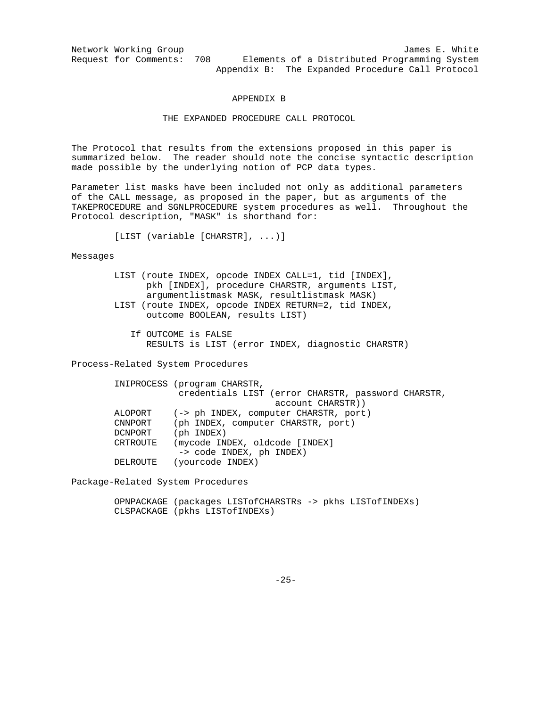Network Working Group<br>Request for Comments: 708 Elements of a Distributed Programming System Elements of a Distributed Programming System Appendix B: The Expanded Procedure Call Protocol

#### APPENDIX B

### THE EXPANDED PROCEDURE CALL PROTOCOL

The Protocol that results from the extensions proposed in this paper is summarized below. The reader should note the concise syntactic description made possible by the underlying notion of PCP data types.

Parameter list masks have been included not only as additional parameters of the CALL message, as proposed in the paper, but as arguments of the TAKEPROCEDURE and SGNLPROCEDURE system procedures as well. Throughout the Protocol description, "MASK" is shorthand for:

[LIST (variable [CHARSTR], ...)]

Messages

| LIST (route INDEX, opcode INDEX CALL=1, tid [INDEX], |
|------------------------------------------------------|
| pkh [INDEX], procedure CHARSTR, arguments LIST,      |
| argumentlistmask MASK, resultlistmask MASK)          |
| LIST (route INDEX, opcode INDEX RETURN=2, tid INDEX, |
| outcome BOOLEAN, results LIST)                       |

 If OUTCOME is FALSE RESULTS is LIST (error INDEX, diagnostic CHARSTR)

Process-Related System Procedures

|          | INIPROCESS (program CHARSTR,                       |
|----------|----------------------------------------------------|
|          | credentials LIST (error CHARSTR, password CHARSTR, |
|          | account CHARSTR))                                  |
| ALOPORT  | (-> ph INDEX, computer CHARSTR, port)              |
| CNNPORT  | (ph INDEX, computer CHARSTR, port)                 |
| DCNPORT  | $(\text{ph} \text{INDEX})$                         |
| CRTROUTE | (mycode INDEX, oldcode [INDEX]                     |
|          | -> code INDEX, ph INDEX)                           |
| DELROUTE | (yourcode INDEX)                                   |

Package-Related System Procedures

 OPNPACKAGE (packages LISTofCHARSTRs -> pkhs LISTofINDEXs) CLSPACKAGE (pkhs LISTofINDEXs)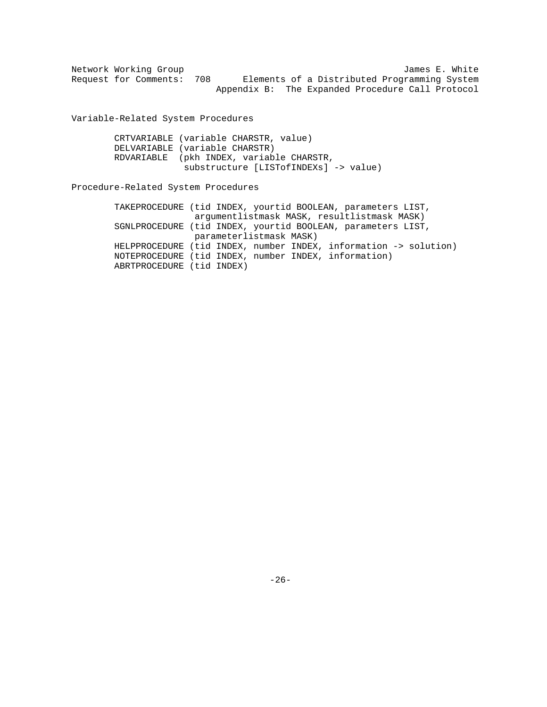|  | Network Working Group |     |                                                  |  |                                              |  |  | James E. White |
|--|-----------------------|-----|--------------------------------------------------|--|----------------------------------------------|--|--|----------------|
|  | Request for Comments: | 708 |                                                  |  | Elements of a Distributed Programming System |  |  |                |
|  |                       |     | Appendix B: The Expanded Procedure Call Protocol |  |                                              |  |  |                |

Variable-Related System Procedures

| CRTVARIABLE (variable CHARSTR, value)    |
|------------------------------------------|
| DELVARIABLE (variable CHARSTR)           |
| RDVARIABLE (pkh INDEX, variable CHARSTR, |
| substructure [LISTofINDEXs] -> value)    |

# Procedure-Related System Procedures

|                                                      |  |                         | TAKEPROCEDURE (tid INDEX, yourtid BOOLEAN, parameters LIST,      |
|------------------------------------------------------|--|-------------------------|------------------------------------------------------------------|
|                                                      |  |                         | argumentlistmask MASK, resultlistmask MASK)                      |
|                                                      |  |                         | SGNLPROCEDURE (tid INDEX, yourtid BOOLEAN, parameters LIST,      |
|                                                      |  | parameterlistmask MASK) |                                                                  |
|                                                      |  |                         | HELPPROCEDURE (tid INDEX, number INDEX, information -> solution) |
| NOTEPROCEDURE (tid INDEX, number INDEX, information) |  |                         |                                                                  |
| ABRTPROCEDURE (tid INDEX)                            |  |                         |                                                                  |
|                                                      |  |                         |                                                                  |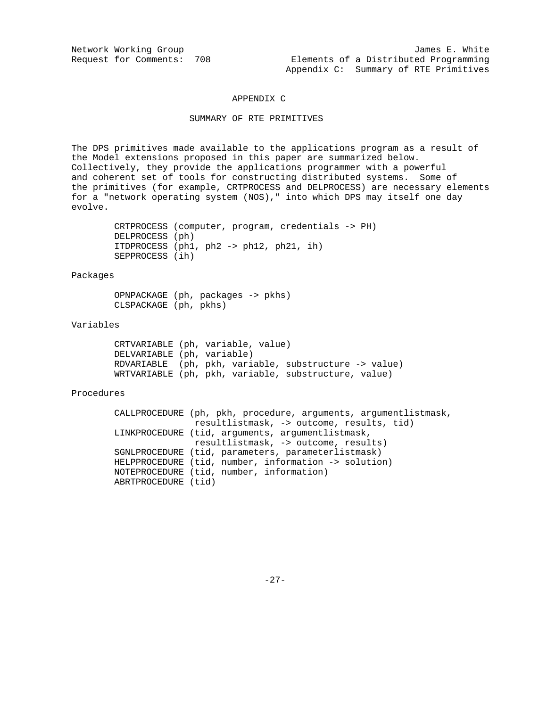#### APPENDIX C

### SUMMARY OF RTE PRIMITIVES

The DPS primitives made available to the applications program as a result of the Model extensions proposed in this paper are summarized below. Collectively, they provide the applications programmer with a powerful and coherent set of tools for constructing distributed systems. Some of the primitives (for example, CRTPROCESS and DELPROCESS) are necessary elements for a "network operating system (NOS)," into which DPS may itself one day evolve.

> CRTPROCESS (computer, program, credentials -> PH) DELPROCESS (ph) ITDPROCESS (ph1, ph2 -> ph12, ph21, ih) SEPPROCESS (ih)

Packages

 OPNPACKAGE (ph, packages -> pkhs) CLSPACKAGE (ph, pkhs)

#### Variables

 CRTVARIABLE (ph, variable, value) DELVARIABLE (ph, variable) RDVARIABLE (ph, pkh, variable, substructure -> value) WRTVARIABLE (ph, pkh, variable, substructure, value)

### Procedures

 CALLPROCEDURE (ph, pkh, procedure, arguments, argumentlistmask, resultlistmask, -> outcome, results, tid) LINKPROCEDURE (tid, arguments, argumentlistmask, resultlistmask, -> outcome, results) SGNLPROCEDURE (tid, parameters, parameterlistmask) HELPPROCEDURE (tid, number, information -> solution) NOTEPROCEDURE (tid, number, information) ABRTPROCEDURE (tid)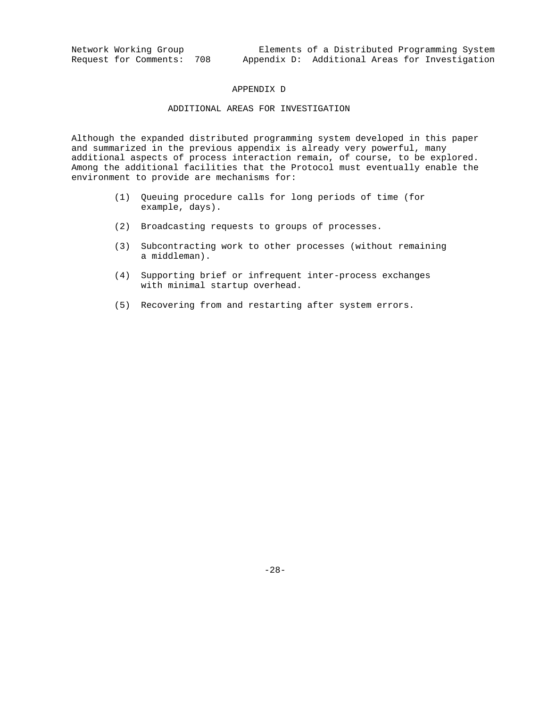#### APPENDIX D

### ADDITIONAL AREAS FOR INVESTIGATION

Although the expanded distributed programming system developed in this paper and summarized in the previous appendix is already very powerful, many additional aspects of process interaction remain, of course, to be explored. Among the additional facilities that the Protocol must eventually enable the environment to provide are mechanisms for:

- (1) Queuing procedure calls for long periods of time (for example, days).
- (2) Broadcasting requests to groups of processes.
- (3) Subcontracting work to other processes (without remaining a middleman).
- (4) Supporting brief or infrequent inter-process exchanges with minimal startup overhead.
- (5) Recovering from and restarting after system errors.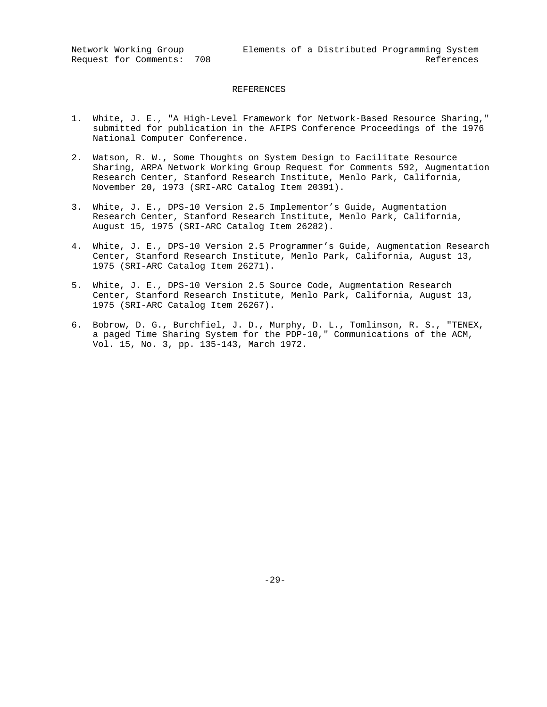Network Working Group Elements of a Distributed Programming System Request for Comments: 708 References

#### REFERENCES

- 1. White, J. E., "A High-Level Framework for Network-Based Resource Sharing," submitted for publication in the AFIPS Conference Proceedings of the 1976 National Computer Conference.
- 2. Watson, R. W., Some Thoughts on System Design to Facilitate Resource Sharing, ARPA Network Working Group Request for Comments 592, Augmentation Research Center, Stanford Research Institute, Menlo Park, California, November 20, 1973 (SRI-ARC Catalog Item 20391).
- 3. White, J. E., DPS-10 Version 2.5 Implementor's Guide, Augmentation Research Center, Stanford Research Institute, Menlo Park, California, August 15, 1975 (SRI-ARC Catalog Item 26282).
- 4. White, J. E., DPS-10 Version 2.5 Programmer's Guide, Augmentation Research Center, Stanford Research Institute, Menlo Park, California, August 13, 1975 (SRI-ARC Catalog Item 26271).
- 5. White, J. E., DPS-10 Version 2.5 Source Code, Augmentation Research Center, Stanford Research Institute, Menlo Park, California, August 13, 1975 (SRI-ARC Catalog Item 26267).
- 6. Bobrow, D. G., Burchfiel, J. D., Murphy, D. L., Tomlinson, R. S., "TENEX, a paged Time Sharing System for the PDP-10," Communications of the ACM, Vol. 15, No. 3, pp. 135-143, March 1972.